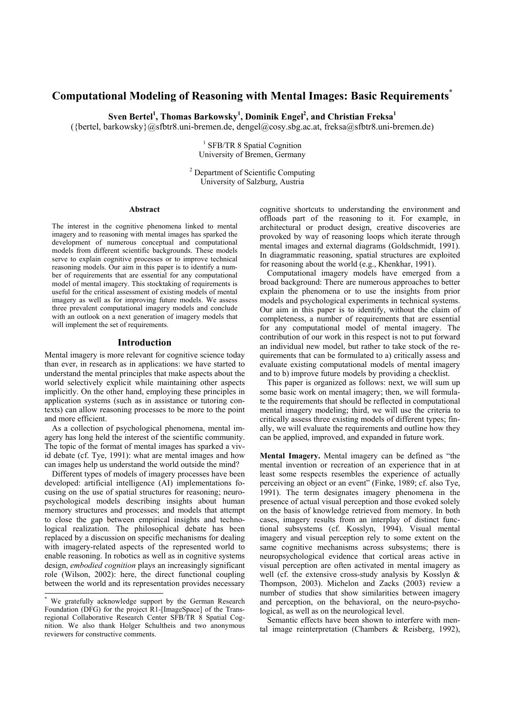# **Computational Modeling of Reasoning with Mental Images: Basic Requirements\***

 $\text{Sven Bertel}^1$ , Thomas Barkowsky<sup>1</sup>, Dominik Engel<sup>2</sup>, and Christian Freksa<sup>1</sup>

({bertel, barkowsky}@sfbtr8.uni-bremen.de, dengel@cosy.sbg.ac.at, freksa@sfbtr8.uni-bremen.de)

<sup>1</sup> SFB/TR 8 Spatial Cognition University of Bremen, Germany

2 Department of Scientific Computing University of Salzburg, Austria

### **Abstract\***

The interest in the cognitive phenomena linked to mental imagery and to reasoning with mental images has sparked the development of numerous conceptual and computational models from different scientific backgrounds. These models serve to explain cognitive processes or to improve technical reasoning models. Our aim in this paper is to identify a number of requirements that are essential for any computational model of mental imagery. This stocktaking of requirements is useful for the critical assessment of existing models of mental imagery as well as for improving future models. We assess three prevalent computational imagery models and conclude with an outlook on a next generation of imagery models that will implement the set of requirements.

#### **Introduction**

Mental imagery is more relevant for cognitive science today than ever, in research as in applications: we have started to understand the mental principles that make aspects about the world selectively explicit while maintaining other aspects implicitly. On the other hand, employing these principles in application systems (such as in assistance or tutoring contexts) can allow reasoning processes to be more to the point and more efficient.

As a collection of psychological phenomena, mental imagery has long held the interest of the scientific community. The topic of the format of mental images has sparked a vivid debate (cf. Tye, 1991): what are mental images and how can images help us understand the world outside the mind?

Different types of models of imagery processes have been developed: artificial intelligence (AI) implementations focusing on the use of spatial structures for reasoning; neuropsychological models describing insights about human memory structures and processes; and models that attempt to close the gap between empirical insights and technological realization. The philosophical debate has been replaced by a discussion on specific mechanisms for dealing with imagery-related aspects of the represented world to enable reasoning. In robotics as well as in cognitive systems design, *embodied cognition* plays an increasingly significant role (Wilson, 2002): here, the direct functional coupling between the world and its representation provides necessary

1

cognitive shortcuts to understanding the environment and offloads part of the reasoning to it. For example, in architectural or product design, creative discoveries are provoked by way of reasoning loops which iterate through mental images and external diagrams (Goldschmidt, 1991). In diagrammatic reasoning, spatial structures are exploited for reasoning about the world (e.g., Khenkhar, 1991).

Computational imagery models have emerged from a broad background: There are numerous approaches to better explain the phenomena or to use the insights from prior models and psychological experiments in technical systems. Our aim in this paper is to identify, without the claim of completeness, a number of requirements that are essential for any computational model of mental imagery. The contribution of our work in this respect is not to put forward an individual new model, but rather to take stock of the requirements that can be formulated to a) critically assess and evaluate existing computational models of mental imagery and to b) improve future models by providing a checklist.

This paper is organized as follows: next, we will sum up some basic work on mental imagery; then, we will formulate the requirements that should be reflected in computational mental imagery modeling; third, we will use the criteria to critically assess three existing models of different types; finally, we will evaluate the requirements and outline how they can be applied, improved, and expanded in future work.

**Mental Imagery.** Mental imagery can be defined as "the mental invention or recreation of an experience that in at least some respects resembles the experience of actually perceiving an object or an event" (Finke, 1989; cf. also Tye, 1991). The term designates imagery phenomena in the presence of actual visual perception and those evoked solely on the basis of knowledge retrieved from memory. In both cases, imagery results from an interplay of distinct functional subsystems (cf. Kosslyn, 1994). Visual mental imagery and visual perception rely to some extent on the same cognitive mechanisms across subsystems; there is neuropsychological evidence that cortical areas active in visual perception are often activated in mental imagery as well (cf. the extensive cross-study analysis by Kosslyn & Thompson, 2003). Michelon and Zacks (2003) review a number of studies that show similarities between imagery and perception, on the behavioral, on the neuro-psychological, as well as on the neurological level.

Semantic effects have been shown to interfere with mental image reinterpretation (Chambers & Reisberg, 1992),

<sup>\*</sup> We gratefully acknowledge support by the German Research Foundation (DFG) for the project R1-[ImageSpace] of the Transregional Collaborative Research Center SFB/TR 8 Spatial Cognition. We also thank Holger Schultheis and two anonymous reviewers for constructive comments.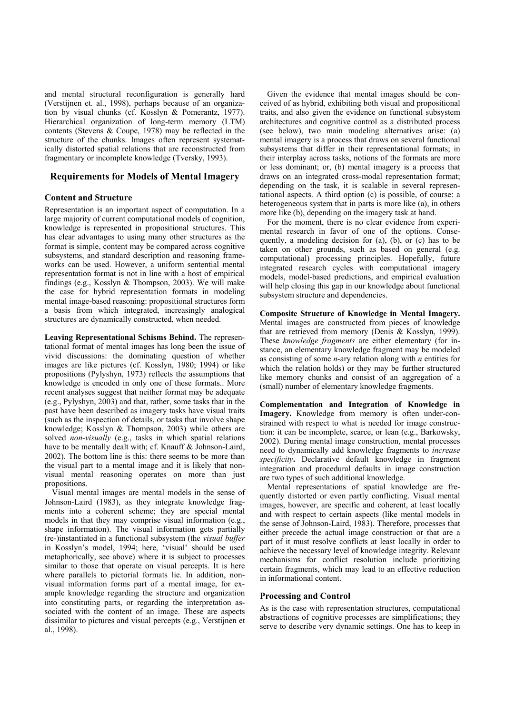and mental structural reconfiguration is generally hard (Verstijnen et. al., 1998), perhaps because of an organization by visual chunks (cf. Kosslyn & Pomerantz, 1977). Hierarchical organization of long-term memory (LTM) contents (Stevens & Coupe, 1978) may be reflected in the structure of the chunks. Images often represent systematically distorted spatial relations that are reconstructed from fragmentary or incomplete knowledge (Tversky, 1993).

# **Requirements for Models of Mental Imagery**

## **Content and Structure**

Representation is an important aspect of computation. In a large majority of current computational models of cognition, knowledge is represented in propositional structures. This has clear advantages to using many other structures as the format is simple, content may be compared across cognitive subsystems, and standard description and reasoning frameworks can be used. However, a uniform sentential mental representation format is not in line with a host of empirical findings (e.g., Kosslyn & Thompson, 2003). We will make the case for hybrid representation formats in modeling mental image-based reasoning: propositional structures form a basis from which integrated, increasingly analogical structures are dynamically constructed, when needed.

**Leaving Representational Schisms Behind.** The representational format of mental images has long been the issue of vivid discussions: the dominating question of whether images are like pictures (cf. Kosslyn, 1980; 1994) or like propositions (Pylyshyn, 1973) reflects the assumptions that knowledge is encoded in only one of these formats.. More recent analyses suggest that neither format may be adequate (e.g., Pylyshyn, 2003) and that, rather, some tasks that in the past have been described as imagery tasks have visual traits (such as the inspection of details, or tasks that involve shape knowledge; Kosslyn & Thompson, 2003) while others are solved *non-visually* (e.g., tasks in which spatial relations have to be mentally dealt with; cf. Knauff & Johnson-Laird, 2002). The bottom line is this: there seems to be more than the visual part to a mental image and it is likely that nonvisual mental reasoning operates on more than just propositions.

Visual mental images are mental models in the sense of Johnson-Laird (1983), as they integrate knowledge fragments into a coherent scheme; they are special mental models in that they may comprise visual information (e.g., shape information). The visual information gets partially (re-)instantiated in a functional subsystem (the *visual buffer* in Kosslyn's model, 1994; here, 'visual' should be used metaphorically, see above) where it is subject to processes similar to those that operate on visual percepts. It is here where parallels to pictorial formats lie. In addition, nonvisual information forms part of a mental image, for example knowledge regarding the structure and organization into constituting parts, or regarding the interpretation associated with the content of an image. These are aspects dissimilar to pictures and visual percepts (e.g., Verstijnen et al., 1998).

Given the evidence that mental images should be conceived of as hybrid, exhibiting both visual and propositional traits, and also given the evidence on functional subsystem architectures and cognitive control as a distributed process (see below), two main modeling alternatives arise: (a) mental imagery is a process that draws on several functional subsystems that differ in their representational formats; in their interplay across tasks, notions of the formats are more or less dominant; or, (b) mental imagery is a process that draws on an integrated cross-modal representation format; depending on the task, it is scalable in several representational aspects. A third option (c) is possible, of course: a heterogeneous system that in parts is more like (a), in others more like (b), depending on the imagery task at hand.

For the moment, there is no clear evidence from experimental research in favor of one of the options. Consequently, a modeling decision for (a), (b), or (c) has to be taken on other grounds, such as based on general (e.g. computational) processing principles. Hopefully, future integrated research cycles with computational imagery models, model-based predictions, and empirical evaluation will help closing this gap in our knowledge about functional subsystem structure and dependencies.

**Composite Structure of Knowledge in Mental Imagery.**  Mental images are constructed from pieces of knowledge that are retrieved from memory (Denis & Kosslyn, 1999). These *knowledge fragments* are either elementary (for instance, an elementary knowledge fragment may be modeled as consisting of some *n*-ary relation along with *n* entities for which the relation holds) or they may be further structured like memory chunks and consist of an aggregation of a (small) number of elementary knowledge fragments.

**Complementation and Integration of Knowledge in Imagery.** Knowledge from memory is often under-constrained with respect to what is needed for image construction: it can be incomplete, scarce, or lean (e.g., Barkowsky, 2002). During mental image construction, mental processes need to dynamically add knowledge fragments to *increase specificity***.** Declarative default knowledge in fragment integration and procedural defaults in image construction are two types of such additional knowledge.

Mental representations of spatial knowledge are frequently distorted or even partly conflicting. Visual mental images, however, are specific and coherent, at least locally and with respect to certain aspects (like mental models in the sense of Johnson-Laird, 1983). Therefore, processes that either precede the actual image construction or that are a part of it must resolve conflicts at least locally in order to achieve the necessary level of knowledge integrity. Relevant mechanisms for conflict resolution include prioritizing certain fragments, which may lead to an effective reduction in informational content.

## **Processing and Control**

As is the case with representation structures, computational abstractions of cognitive processes are simplifications; they serve to describe very dynamic settings. One has to keep in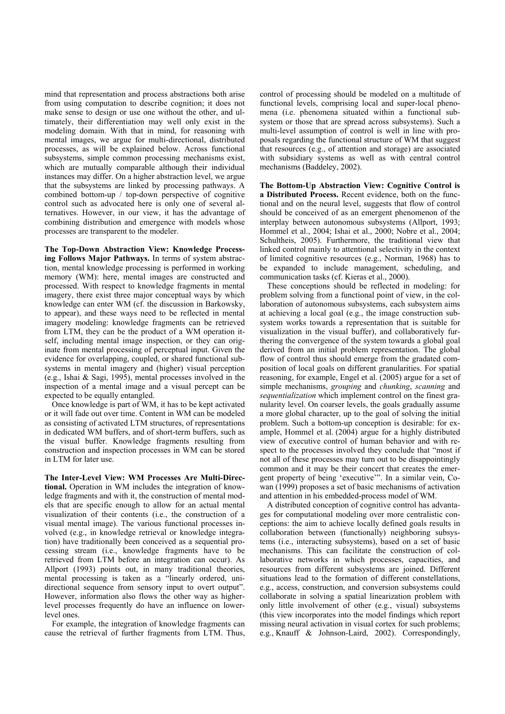mind that representation and process abstractions both arise from using computation to describe cognition; it does not make sense to design or use one without the other, and ultimately, their differentiation may well only exist in the modeling domain. With that in mind, for reasoning with mental images, we argue for multi-directional, distributed processes, as will be explained below. Across functional subsystems, simple common processing mechanisms exist, which are mutually comparable although their individual instances may differ. On a higher abstraction level, we argue that the subsystems are linked by processing pathways. A combined bottom-up / top-down perspective of cognitive control such as advocated here is only one of several alternatives. However, in our view, it has the advantage of combining distribution and emergence with models whose processes are transparent to the modeler.

**The Top-Down Abstraction View: Knowledge Processing Follows Major Pathways.** In terms of system abstraction, mental knowledge processing is performed in working memory (WM): here, mental images are constructed and processed. With respect to knowledge fragments in mental imagery, there exist three major conceptual ways by which knowledge can enter WM (cf. the discussion in Barkowsky, to appear), and these ways need to be reflected in mental imagery modeling: knowledge fragments can be retrieved from LTM, they can be the product of a WM operation itself, including mental image inspection, or they can originate from mental processing of perceptual input. Given the evidence for overlapping, coupled, or shared functional subsystems in mental imagery and (higher) visual perception (e.g., Ishai & Sagi, 1995), mental processes involved in the inspection of a mental image and a visual percept can be expected to be equally entangled.

Once knowledge is part of WM, it has to be kept activated or it will fade out over time. Content in WM can be modeled as consisting of activated LTM structures, of representations in dedicated WM buffers, and of short-term buffers, such as the visual buffer. Knowledge fragments resulting from construction and inspection processes in WM can be stored in LTM for later use.

**The Inter-Level View: WM Processes Are Multi-Directional.** Operation in WM includes the integration of knowledge fragments and with it, the construction of mental models that are specific enough to allow for an actual mental visualization of their contents (i.e., the construction of a visual mental image). The various functional processes involved (e.g., in knowledge retrieval or knowledge integration) have traditionally been conceived as a sequential processing stream (i.e., knowledge fragments have to be retrieved from LTM before an integration can occur). As Allport (1993) points out, in many traditional theories, mental processing is taken as a "linearly ordered, unidirectional sequence from sensory input to overt output". However, information also flows the other way as higherlevel processes frequently do have an influence on lowerlevel ones.

For example, the integration of knowledge fragments can cause the retrieval of further fragments from LTM. Thus,

control of processing should be modeled on a multitude of functional levels, comprising local and super-local phenomena (i.e. phenomena situated within a functional subsystem or those that are spread across subsystems). Such a multi-level assumption of control is well in line with proposals regarding the functional structure of WM that suggest that resources (e.g., of attention and storage) are associated with subsidiary systems as well as with central control mechanisms (Baddeley, 2002).

**The Bottom-Up Abstraction View: Cognitive Control is a Distributed Process.** Recent evidence, both on the functional and on the neural level, suggests that flow of control should be conceived of as an emergent phenomenon of the interplay between autonomous subsystems (Allport, 1993; Hommel et al., 2004; Ishai et al., 2000; Nobre et al., 2004; Schultheis, 2005). Furthermore, the traditional view that linked control mainly to attentional selectivity in the context of limited cognitive resources (e.g., Norman, 1968) has to be expanded to include management, scheduling, and communication tasks (cf. Kieras et al., 2000).

These conceptions should be reflected in modeling: for problem solving from a functional point of view, in the collaboration of autonomous subsystems, each subsystem aims at achieving a local goal (e.g., the image construction subsystem works towards a representation that is suitable for visualization in the visual buffer), and collaboratively furthering the convergence of the system towards a global goal derived from an initial problem representation. The global flow of control thus should emerge from the gradated composition of local goals on different granularities. For spatial reasoning, for example, Engel et al. (2005) argue for a set of simple mechanisms, *grouping* and *chunking*, *scanning* and *sequentialization* which implement control on the finest granularity level. On coarser levels, the goals gradually assume a more global character, up to the goal of solving the initial problem. Such a bottom-up conception is desirable: for example, Hommel et al. (2004) argue for a highly distributed view of executive control of human behavior and with respect to the processes involved they conclude that "most if not all of these processes may turn out to be disappointingly common and it may be their concert that creates the emergent property of being 'executive'". In a similar vein, Cowan (1999) proposes a set of basic mechanisms of activation and attention in his embedded-process model of WM.

A distributed conception of cognitive control has advantages for computational modeling over more centralistic conceptions: the aim to achieve locally defined goals results in collaboration between (functionally) neighboring subsystems (i.e., interacting subsystems), based on a set of basic mechanisms. This can facilitate the construction of collaborative networks in which processes, capacities, and resources from different subsystems are joined. Different situations lead to the formation of different constellations, e.g., access, construction, and conversion subsystems could collaborate in solving a spatial linearization problem with only little involvement of other (e.g., visual) subsystems (this view incorporates into the model findings which report missing neural activation in visual cortex for such problems; e.g., Knauff & Johnson-Laird, 2002). Correspondingly,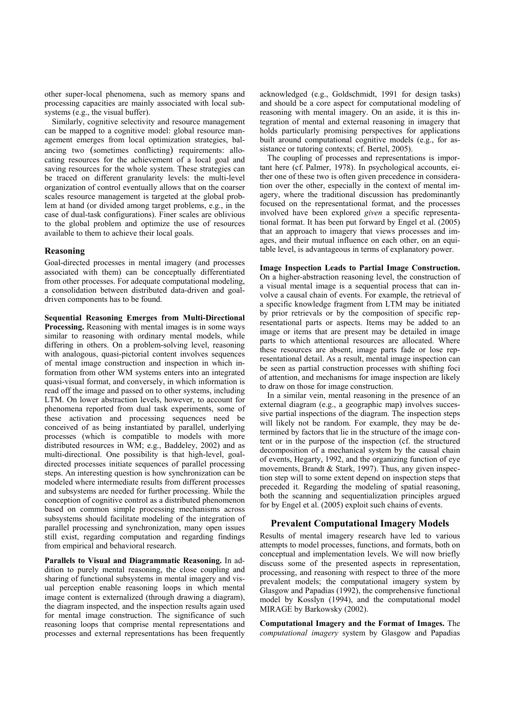other super-local phenomena, such as memory spans and processing capacities are mainly associated with local subsystems (e.g., the visual buffer).

Similarly, cognitive selectivity and resource management can be mapped to a cognitive model: global resource management emerges from local optimization strategies, balancing two (sometimes conflicting) requirements: allocating resources for the achievement of a local goal and saving resources for the whole system. These strategies can be traced on different granularity levels: the multi-level organization of control eventually allows that on the coarser scales resource management is targeted at the global problem at hand (or divided among target problems, e.g., in the case of dual-task configurations). Finer scales are oblivious to the global problem and optimize the use of resources available to them to achieve their local goals.

## **Reasoning**

Goal-directed processes in mental imagery (and processes associated with them) can be conceptually differentiated from other processes. For adequate computational modeling, a consolidation between distributed data-driven and goaldriven components has to be found.

**Sequential Reasoning Emerges from Multi-Directional Processing.** Reasoning with mental images is in some ways similar to reasoning with ordinary mental models, while differing in others. On a problem-solving level, reasoning with analogous, quasi-pictorial content involves sequences of mental image construction and inspection in which information from other WM systems enters into an integrated quasi-visual format, and conversely, in which information is read off the image and passed on to other systems, including LTM. On lower abstraction levels, however, to account for phenomena reported from dual task experiments, some of these activation and processing sequences need be conceived of as being instantiated by parallel, underlying processes (which is compatible to models with more distributed resources in WM; e.g., Baddeley, 2002) and as multi-directional. One possibility is that high-level, goaldirected processes initiate sequences of parallel processing steps. An interesting question is how synchronization can be modeled where intermediate results from different processes and subsystems are needed for further processing. While the conception of cognitive control as a distributed phenomenon based on common simple processing mechanisms across subsystems should facilitate modeling of the integration of parallel processing and synchronization, many open issues still exist, regarding computation and regarding findings from empirical and behavioral research.

**Parallels to Visual and Diagrammatic Reasoning.** In addition to purely mental reasoning, the close coupling and sharing of functional subsystems in mental imagery and visual perception enable reasoning loops in which mental image content is externalized (through drawing a diagram), the diagram inspected, and the inspection results again used for mental image construction. The significance of such reasoning loops that comprise mental representations and processes and external representations has been frequently

acknowledged (e.g., Goldschmidt, 1991 for design tasks) and should be a core aspect for computational modeling of reasoning with mental imagery. On an aside, it is this integration of mental and external reasoning in imagery that holds particularly promising perspectives for applications built around computational cognitive models (e.g., for assistance or tutoring contexts; cf. Bertel, 2005).

The coupling of processes and representations is important here (cf. Palmer, 1978). In psychological accounts, either one of these two is often given precedence in consideration over the other, especially in the context of mental imagery, where the traditional discussion has predominantly focused on the representational format, and the processes involved have been explored *given* a specific representational format. It has been put forward by Engel et al. (2005) that an approach to imagery that views processes and images, and their mutual influence on each other, on an equitable level, is advantageous in terms of explanatory power.

**Image Inspection Leads to Partial Image Construction.**  On a higher-abstraction reasoning level, the construction of a visual mental image is a sequential process that can involve a causal chain of events. For example, the retrieval of a specific knowledge fragment from LTM may be initiated by prior retrievals or by the composition of specific representational parts or aspects. Items may be added to an image or items that are present may be detailed in image parts to which attentional resources are allocated. Where these resources are absent, image parts fade or lose representational detail. As a result, mental image inspection can be seen as partial construction processes with shifting foci of attention, and mechanisms for image inspection are likely to draw on those for image construction.

In a similar vein, mental reasoning in the presence of an external diagram (e.g., a geographic map) involves successive partial inspections of the diagram. The inspection steps will likely not be random. For example, they may be determined by factors that lie in the structure of the image content or in the purpose of the inspection (cf. the structured decomposition of a mechanical system by the causal chain of events, Hegarty, 1992, and the organizing function of eye movements, Brandt & Stark, 1997). Thus, any given inspection step will to some extent depend on inspection steps that preceded it. Regarding the modeling of spatial reasoning, both the scanning and sequentialization principles argued for by Engel et al. (2005) exploit such chains of events.

# **Prevalent Computational Imagery Models**

Results of mental imagery research have led to various attempts to model processes, functions, and formats, both on conceptual and implementation levels. We will now briefly discuss some of the presented aspects in representation, processing, and reasoning with respect to three of the more prevalent models; the computational imagery system by Glasgow and Papadias (1992), the comprehensive functional model by Kosslyn (1994), and the computational model MIRAGE by Barkowsky (2002).

**Computational Imagery and the Format of Images.** The *computational imagery* system by Glasgow and Papadias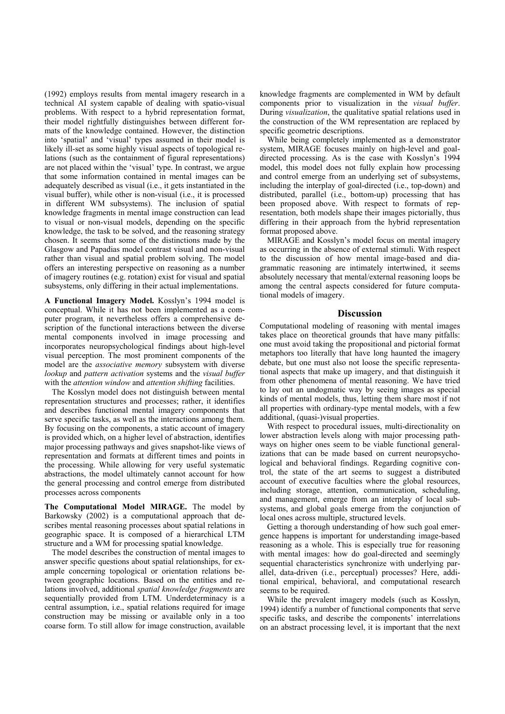(1992) employs results from mental imagery research in a technical AI system capable of dealing with spatio-visual problems. With respect to a hybrid representation format, their model rightfully distinguishes between different formats of the knowledge contained. However, the distinction into 'spatial' and 'visual' types assumed in their model is likely ill-set as some highly visual aspects of topological relations (such as the containment of figural representations) are not placed within the 'visual' type. In contrast, we argue that some information contained in mental images can be adequately described as visual (i.e., it gets instantiated in the visual buffer), while other is non-visual (i.e., it is processed in different WM subsystems). The inclusion of spatial knowledge fragments in mental image construction can lead to visual or non-visual models, depending on the specific knowledge, the task to be solved, and the reasoning strategy chosen. It seems that some of the distinctions made by the Glasgow and Papadias model contrast visual and non-visual rather than visual and spatial problem solving. The model offers an interesting perspective on reasoning as a number of imagery routines (e.g. rotation) exist for visual and spatial subsystems, only differing in their actual implementations.

**A Functional Imagery Model.** Kosslyn's 1994 model is conceptual. While it has not been implemented as a computer program, it nevertheless offers a comprehensive description of the functional interactions between the diverse mental components involved in image processing and incorporates neuropsychological findings about high-level visual perception. The most prominent components of the model are the *associative memory* subsystem with diverse *lookup* and *pattern activation* systems and the *visual buffer* with the *attention window* and *attention shifting* facilities.

The Kosslyn model does not distinguish between mental representation structures and processes; rather, it identifies and describes functional mental imagery components that serve specific tasks, as well as the interactions among them. By focusing on the components, a static account of imagery is provided which, on a higher level of abstraction, identifies major processing pathways and gives snapshot-like views of representation and formats at different times and points in the processing. While allowing for very useful systematic abstractions, the model ultimately cannot account for how the general processing and control emerge from distributed processes across components

**The Computational Model MIRAGE.** The model by Barkowsky (2002) is a computational approach that describes mental reasoning processes about spatial relations in geographic space. It is composed of a hierarchical LTM structure and a WM for processing spatial knowledge.

The model describes the construction of mental images to answer specific questions about spatial relationships, for example concerning topological or orientation relations between geographic locations. Based on the entities and relations involved, additional *spatial knowledge fragments* are sequentially provided from LTM. Underdeterminacy is a central assumption, i.e., spatial relations required for image construction may be missing or available only in a too coarse form. To still allow for image construction, available

knowledge fragments are complemented in WM by default components prior to visualization in the *visual buffer*. During *visualization*, the qualitative spatial relations used in the construction of the WM representation are replaced by specific geometric descriptions.

While being completely implemented as a demonstrator system, MIRAGE focuses mainly on high-level and goaldirected processing. As is the case with Kosslyn's 1994 model, this model does not fully explain how processing and control emerge from an underlying set of subsystems, including the interplay of goal-directed (i.e., top-down) and distributed, parallel (i.e., bottom-up) processing that has been proposed above. With respect to formats of representation, both models shape their images pictorially, thus differing in their approach from the hybrid representation format proposed above.

MIRAGE and Kosslyn's model focus on mental imagery as occurring in the absence of external stimuli. With respect to the discussion of how mental image-based and diagrammatic reasoning are intimately intertwined, it seems absolutely necessary that mental/external reasoning loops be among the central aspects considered for future computational models of imagery.

#### **Discussion**

Computational modeling of reasoning with mental images takes place on theoretical grounds that have many pitfalls: one must avoid taking the propositional and pictorial format metaphors too literally that have long haunted the imagery debate, but one must also not loose the specific representational aspects that make up imagery, and that distinguish it from other phenomena of mental reasoning. We have tried to lay out an undogmatic way by seeing images as special kinds of mental models, thus, letting them share most if not all properties with ordinary-type mental models, with a few additional, (quasi-)visual properties.

With respect to procedural issues, multi-directionality on lower abstraction levels along with major processing pathways on higher ones seem to be viable functional generalizations that can be made based on current neuropsychological and behavioral findings. Regarding cognitive control, the state of the art seems to suggest a distributed account of executive faculties where the global resources, including storage, attention, communication, scheduling, and management, emerge from an interplay of local subsystems, and global goals emerge from the conjunction of local ones across multiple, structured levels.

Getting a thorough understanding of how such goal emergence happens is important for understanding image-based reasoning as a whole. This is especially true for reasoning with mental images: how do goal-directed and seemingly sequential characteristics synchronize with underlying parallel, data-driven (i.e., perceptual) processes? Here, additional empirical, behavioral, and computational research seems to be required.

While the prevalent imagery models (such as Kosslyn, 1994) identify a number of functional components that serve specific tasks, and describe the components' interrelations on an abstract processing level, it is important that the next